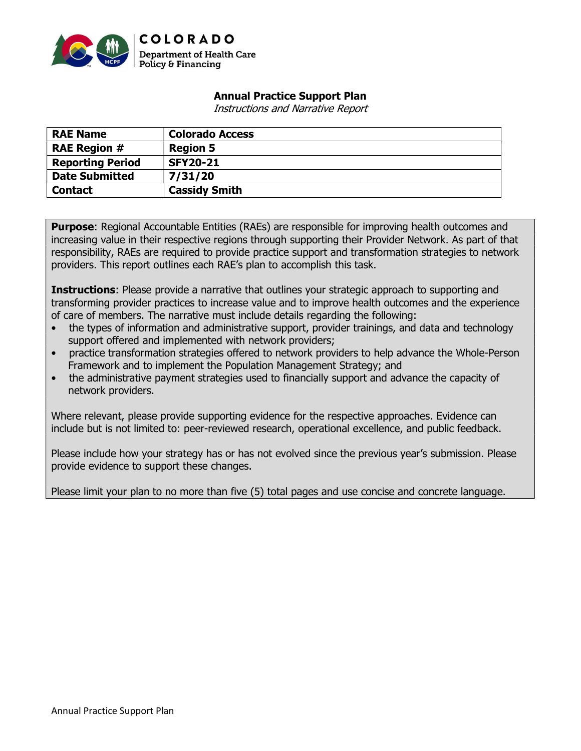

## Annual Practice Support Plan

Instructions and Narrative Report

| <b>RAE Name</b>         | <b>Colorado Access</b> |
|-------------------------|------------------------|
| <b>RAE Region #</b>     | <b>Region 5</b>        |
| <b>Reporting Period</b> | <b>SFY20-21</b>        |
| <b>Date Submitted</b>   | 7/31/20                |
| <b>Contact</b>          | <b>Cassidy Smith</b>   |

**Purpose:** Regional Accountable Entities (RAEs) are responsible for improving health outcomes and increasing value in their respective regions through supporting their Provider Network. As part of that responsibility, RAEs are required to provide practice support and transformation strategies to network providers. This report outlines each RAE's plan to accomplish this task.

**Instructions:** Please provide a narrative that outlines your strategic approach to supporting and transforming provider practices to increase value and to improve health outcomes and the experience of care of members. The narrative must include details regarding the following:

- the types of information and administrative support, provider trainings, and data and technology support offered and implemented with network providers;
- practice transformation strategies offered to network providers to help advance the Whole-Person Framework and to implement the Population Management Strategy; and
- the administrative payment strategies used to financially support and advance the capacity of network providers.

Where relevant, please provide supporting evidence for the respective approaches. Evidence can include but is not limited to: peer-reviewed research, operational excellence, and public feedback.

Please include how your strategy has or has not evolved since the previous year's submission. Please provide evidence to support these changes.

Please limit your plan to no more than five (5) total pages and use concise and concrete language.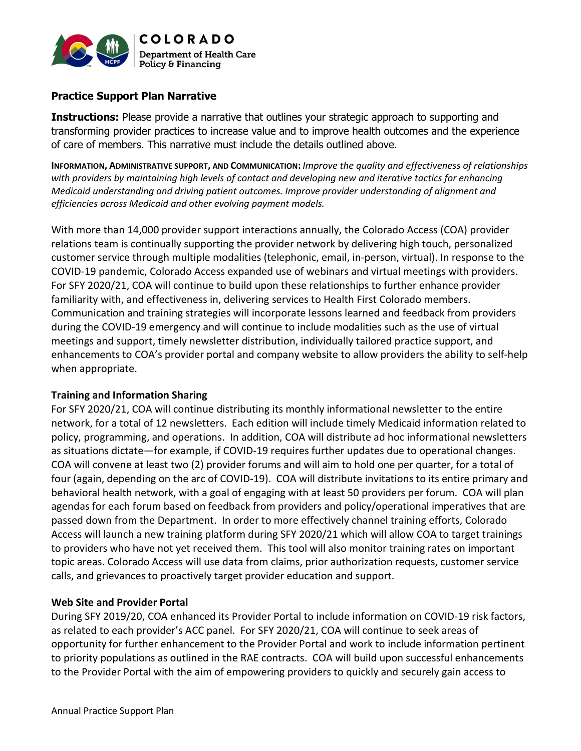

## Practice Support Plan Narrative

**Instructions:** Please provide a narrative that outlines your strategic approach to supporting and transforming provider practices to increase value and to improve health outcomes and the experience of care of members. This narrative must include the details outlined above.

INFORMATION, ADMINISTRATIVE SUPPORT, AND COMMUNICATION: Improve the quality and effectiveness of relationships with providers by maintaining high levels of contact and developing new and iterative tactics for enhancing Medicaid understanding and driving patient outcomes. Improve provider understanding of alignment and efficiencies across Medicaid and other evolving payment models.

With more than 14,000 provider support interactions annually, the Colorado Access (COA) provider relations team is continually supporting the provider network by delivering high touch, personalized customer service through multiple modalities (telephonic, email, in-person, virtual). In response to the COVID-19 pandemic, Colorado Access expanded use of webinars and virtual meetings with providers. For SFY 2020/21, COA will continue to build upon these relationships to further enhance provider familiarity with, and effectiveness in, delivering services to Health First Colorado members. Communication and training strategies will incorporate lessons learned and feedback from providers during the COVID-19 emergency and will continue to include modalities such as the use of virtual meetings and support, timely newsletter distribution, individually tailored practice support, and enhancements to COA's provider portal and company website to allow providers the ability to self-help when appropriate.

#### Training and Information Sharing

For SFY 2020/21, COA will continue distributing its monthly informational newsletter to the entire network, for a total of 12 newsletters. Each edition will include timely Medicaid information related to policy, programming, and operations. In addition, COA will distribute ad hoc informational newsletters as situations dictate—for example, if COVID-19 requires further updates due to operational changes. COA will convene at least two (2) provider forums and will aim to hold one per quarter, for a total of four (again, depending on the arc of COVID-19). COA will distribute invitations to its entire primary and behavioral health network, with a goal of engaging with at least 50 providers per forum. COA will plan agendas for each forum based on feedback from providers and policy/operational imperatives that are passed down from the Department. In order to more effectively channel training efforts, Colorado Access will launch a new training platform during SFY 2020/21 which will allow COA to target trainings to providers who have not yet received them. This tool will also monitor training rates on important topic areas. Colorado Access will use data from claims, prior authorization requests, customer service calls, and grievances to proactively target provider education and support.

### Web Site and Provider Portal

During SFY 2019/20, COA enhanced its Provider Portal to include information on COVID-19 risk factors, as related to each provider's ACC panel. For SFY 2020/21, COA will continue to seek areas of opportunity for further enhancement to the Provider Portal and work to include information pertinent to priority populations as outlined in the RAE contracts. COA will build upon successful enhancements to the Provider Portal with the aim of empowering providers to quickly and securely gain access to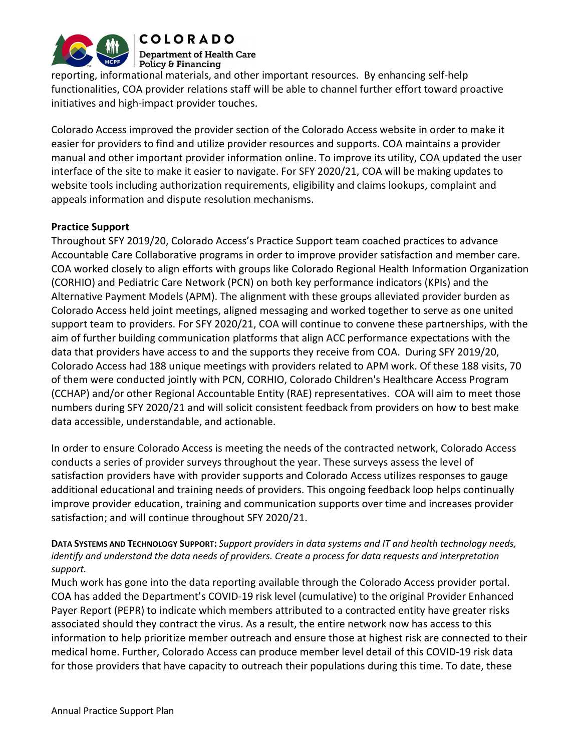

**COLORADO Department of Health Care** Policy & Financing

reporting, informational materials, and other important resources. By enhancing self-help functionalities, COA provider relations staff will be able to channel further effort toward proactive initiatives and high-impact provider touches.

Colorado Access improved the provider section of the Colorado Access website in order to make it easier for providers to find and utilize provider resources and supports. COA maintains a provider manual and other important provider information online. To improve its utility, COA updated the user interface of the site to make it easier to navigate. For SFY 2020/21, COA will be making updates to website tools including authorization requirements, eligibility and claims lookups, complaint and appeals information and dispute resolution mechanisms.

# Practice Support

Throughout SFY 2019/20, Colorado Access's Practice Support team coached practices to advance Accountable Care Collaborative programs in order to improve provider satisfaction and member care. COA worked closely to align efforts with groups like Colorado Regional Health Information Organization (CORHIO) and Pediatric Care Network (PCN) on both key performance indicators (KPIs) and the Alternative Payment Models (APM). The alignment with these groups alleviated provider burden as Colorado Access held joint meetings, aligned messaging and worked together to serve as one united support team to providers. For SFY 2020/21, COA will continue to convene these partnerships, with the aim of further building communication platforms that align ACC performance expectations with the data that providers have access to and the supports they receive from COA. During SFY 2019/20, Colorado Access had 188 unique meetings with providers related to APM work. Of these 188 visits, 70 of them were conducted jointly with PCN, CORHIO, Colorado Children's Healthcare Access Program (CCHAP) and/or other Regional Accountable Entity (RAE) representatives. COA will aim to meet those numbers during SFY 2020/21 and will solicit consistent feedback from providers on how to best make data accessible, understandable, and actionable.

In order to ensure Colorado Access is meeting the needs of the contracted network, Colorado Access conducts a series of provider surveys throughout the year. These surveys assess the level of satisfaction providers have with provider supports and Colorado Access utilizes responses to gauge additional educational and training needs of providers. This ongoing feedback loop helps continually improve provider education, training and communication supports over time and increases provider satisfaction; and will continue throughout SFY 2020/21.

## DATA SYSTEMS AND TECHNOLOGY SUPPORT: Support providers in data systems and IT and health technology needs, identify and understand the data needs of providers. Create a process for data requests and interpretation support.

Much work has gone into the data reporting available through the Colorado Access provider portal. COA has added the Department's COVID-19 risk level (cumulative) to the original Provider Enhanced Payer Report (PEPR) to indicate which members attributed to a contracted entity have greater risks associated should they contract the virus. As a result, the entire network now has access to this information to help prioritize member outreach and ensure those at highest risk are connected to their medical home. Further, Colorado Access can produce member level detail of this COVID-19 risk data for those providers that have capacity to outreach their populations during this time. To date, these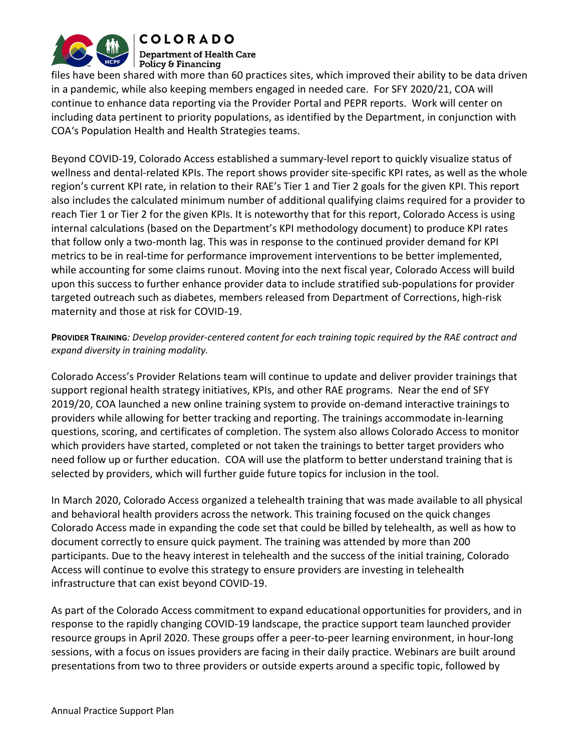

**COLORADO Department of Health Care** Policy & Financing

files have been shared with more than 60 practices sites, which improved their ability to be data driven in a pandemic, while also keeping members engaged in needed care. For SFY 2020/21, COA will continue to enhance data reporting via the Provider Portal and PEPR reports. Work will center on including data pertinent to priority populations, as identified by the Department, in conjunction with COA's Population Health and Health Strategies teams.

Beyond COVID-19, Colorado Access established a summary-level report to quickly visualize status of wellness and dental-related KPIs. The report shows provider site-specific KPI rates, as well as the whole region's current KPI rate, in relation to their RAE's Tier 1 and Tier 2 goals for the given KPI. This report also includes the calculated minimum number of additional qualifying claims required for a provider to reach Tier 1 or Tier 2 for the given KPIs. It is noteworthy that for this report, Colorado Access is using internal calculations (based on the Department's KPI methodology document) to produce KPI rates that follow only a two-month lag. This was in response to the continued provider demand for KPI metrics to be in real-time for performance improvement interventions to be better implemented, while accounting for some claims runout. Moving into the next fiscal year, Colorado Access will build upon this success to further enhance provider data to include stratified sub-populations for provider targeted outreach such as diabetes, members released from Department of Corrections, high-risk maternity and those at risk for COVID-19.

## PROVIDER TRAINING: Develop provider-centered content for each training topic required by the RAE contract and expand diversity in training modality.

Colorado Access's Provider Relations team will continue to update and deliver provider trainings that support regional health strategy initiatives, KPIs, and other RAE programs. Near the end of SFY 2019/20, COA launched a new online training system to provide on-demand interactive trainings to providers while allowing for better tracking and reporting. The trainings accommodate in-learning questions, scoring, and certificates of completion. The system also allows Colorado Access to monitor which providers have started, completed or not taken the trainings to better target providers who need follow up or further education. COA will use the platform to better understand training that is selected by providers, which will further guide future topics for inclusion in the tool.

In March 2020, Colorado Access organized a telehealth training that was made available to all physical and behavioral health providers across the network. This training focused on the quick changes Colorado Access made in expanding the code set that could be billed by telehealth, as well as how to document correctly to ensure quick payment. The training was attended by more than 200 participants. Due to the heavy interest in telehealth and the success of the initial training, Colorado Access will continue to evolve this strategy to ensure providers are investing in telehealth infrastructure that can exist beyond COVID-19.

As part of the Colorado Access commitment to expand educational opportunities for providers, and in response to the rapidly changing COVID-19 landscape, the practice support team launched provider resource groups in April 2020. These groups offer a peer-to-peer learning environment, in hour-long sessions, with a focus on issues providers are facing in their daily practice. Webinars are built around presentations from two to three providers or outside experts around a specific topic, followed by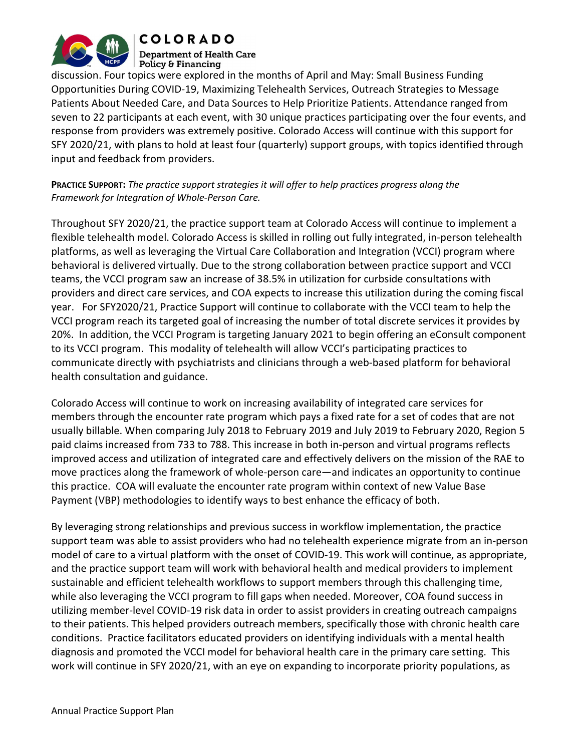

**COLORADO Department of Health Care** 

Policy & Financing discussion. Four topics were explored in the months of April and May: Small Business Funding Opportunities During COVID-19, Maximizing Telehealth Services, Outreach Strategies to Message Patients About Needed Care, and Data Sources to Help Prioritize Patients. Attendance ranged from seven to 22 participants at each event, with 30 unique practices participating over the four events, and response from providers was extremely positive. Colorado Access will continue with this support for SFY 2020/21, with plans to hold at least four (quarterly) support groups, with topics identified through input and feedback from providers.

PRACTICE SUPPORT: The practice support strategies it will offer to help practices progress along the Framework for Integration of Whole-Person Care.

Throughout SFY 2020/21, the practice support team at Colorado Access will continue to implement a flexible telehealth model. Colorado Access is skilled in rolling out fully integrated, in-person telehealth platforms, as well as leveraging the Virtual Care Collaboration and Integration (VCCI) program where behavioral is delivered virtually. Due to the strong collaboration between practice support and VCCI teams, the VCCI program saw an increase of 38.5% in utilization for curbside consultations with providers and direct care services, and COA expects to increase this utilization during the coming fiscal year. For SFY2020/21, Practice Support will continue to collaborate with the VCCI team to help the VCCI program reach its targeted goal of increasing the number of total discrete services it provides by 20%. In addition, the VCCI Program is targeting January 2021 to begin offering an eConsult component to its VCCI program. This modality of telehealth will allow VCCI's participating practices to communicate directly with psychiatrists and clinicians through a web-based platform for behavioral health consultation and guidance.

Colorado Access will continue to work on increasing availability of integrated care services for members through the encounter rate program which pays a fixed rate for a set of codes that are not usually billable. When comparing July 2018 to February 2019 and July 2019 to February 2020, Region 5 paid claims increased from 733 to 788. This increase in both in-person and virtual programs reflects improved access and utilization of integrated care and effectively delivers on the mission of the RAE to move practices along the framework of whole-person care—and indicates an opportunity to continue this practice. COA will evaluate the encounter rate program within context of new Value Base Payment (VBP) methodologies to identify ways to best enhance the efficacy of both.

By leveraging strong relationships and previous success in workflow implementation, the practice support team was able to assist providers who had no telehealth experience migrate from an in-person model of care to a virtual platform with the onset of COVID-19. This work will continue, as appropriate, and the practice support team will work with behavioral health and medical providers to implement sustainable and efficient telehealth workflows to support members through this challenging time, while also leveraging the VCCI program to fill gaps when needed. Moreover, COA found success in utilizing member-level COVID-19 risk data in order to assist providers in creating outreach campaigns to their patients. This helped providers outreach members, specifically those with chronic health care conditions. Practice facilitators educated providers on identifying individuals with a mental health diagnosis and promoted the VCCI model for behavioral health care in the primary care setting. This work will continue in SFY 2020/21, with an eye on expanding to incorporate priority populations, as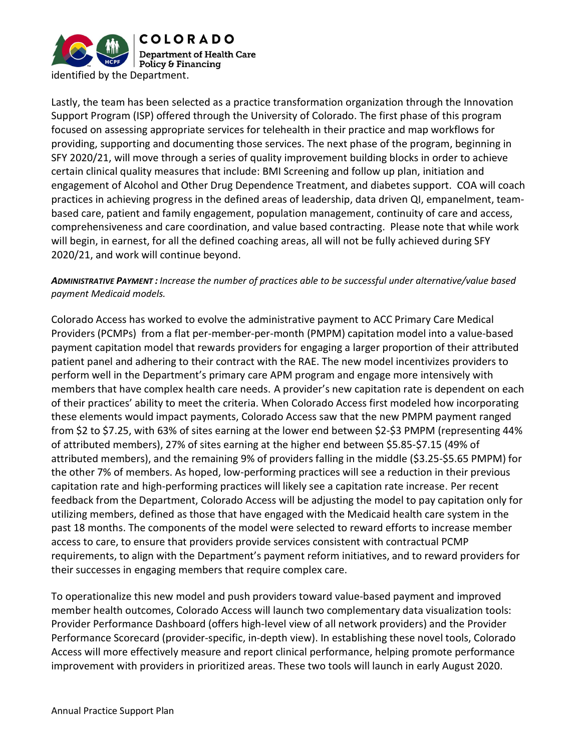

Lastly, the team has been selected as a practice transformation organization through the Innovation Support Program (ISP) offered through the University of Colorado. The first phase of this program focused on assessing appropriate services for telehealth in their practice and map workflows for providing, supporting and documenting those services. The next phase of the program, beginning in SFY 2020/21, will move through a series of quality improvement building blocks in order to achieve certain clinical quality measures that include: BMI Screening and follow up plan, initiation and engagement of Alcohol and Other Drug Dependence Treatment, and diabetes support. COA will coach practices in achieving progress in the defined areas of leadership, data driven QI, empanelment, teambased care, patient and family engagement, population management, continuity of care and access, comprehensiveness and care coordination, and value based contracting. Please note that while work will begin, in earnest, for all the defined coaching areas, all will not be fully achieved during SFY 2020/21, and work will continue beyond.

ADMINISTRATIVE PAYMENT : Increase the number of practices able to be successful under alternative/value based payment Medicaid models.

Colorado Access has worked to evolve the administrative payment to ACC Primary Care Medical Providers (PCMPs) from a flat per-member-per-month (PMPM) capitation model into a value-based payment capitation model that rewards providers for engaging a larger proportion of their attributed patient panel and adhering to their contract with the RAE. The new model incentivizes providers to perform well in the Department's primary care APM program and engage more intensively with members that have complex health care needs. A provider's new capitation rate is dependent on each of their practices' ability to meet the criteria. When Colorado Access first modeled how incorporating these elements would impact payments, Colorado Access saw that the new PMPM payment ranged from \$2 to \$7.25, with 63% of sites earning at the lower end between \$2-\$3 PMPM (representing 44% of attributed members), 27% of sites earning at the higher end between \$5.85-\$7.15 (49% of attributed members), and the remaining 9% of providers falling in the middle (\$3.25-\$5.65 PMPM) for the other 7% of members. As hoped, low-performing practices will see a reduction in their previous capitation rate and high-performing practices will likely see a capitation rate increase. Per recent feedback from the Department, Colorado Access will be adjusting the model to pay capitation only for utilizing members, defined as those that have engaged with the Medicaid health care system in the past 18 months. The components of the model were selected to reward efforts to increase member access to care, to ensure that providers provide services consistent with contractual PCMP requirements, to align with the Department's payment reform initiatives, and to reward providers for their successes in engaging members that require complex care.

To operationalize this new model and push providers toward value-based payment and improved member health outcomes, Colorado Access will launch two complementary data visualization tools: Provider Performance Dashboard (offers high-level view of all network providers) and the Provider Performance Scorecard (provider-specific, in-depth view). In establishing these novel tools, Colorado Access will more effectively measure and report clinical performance, helping promote performance improvement with providers in prioritized areas. These two tools will launch in early August 2020.